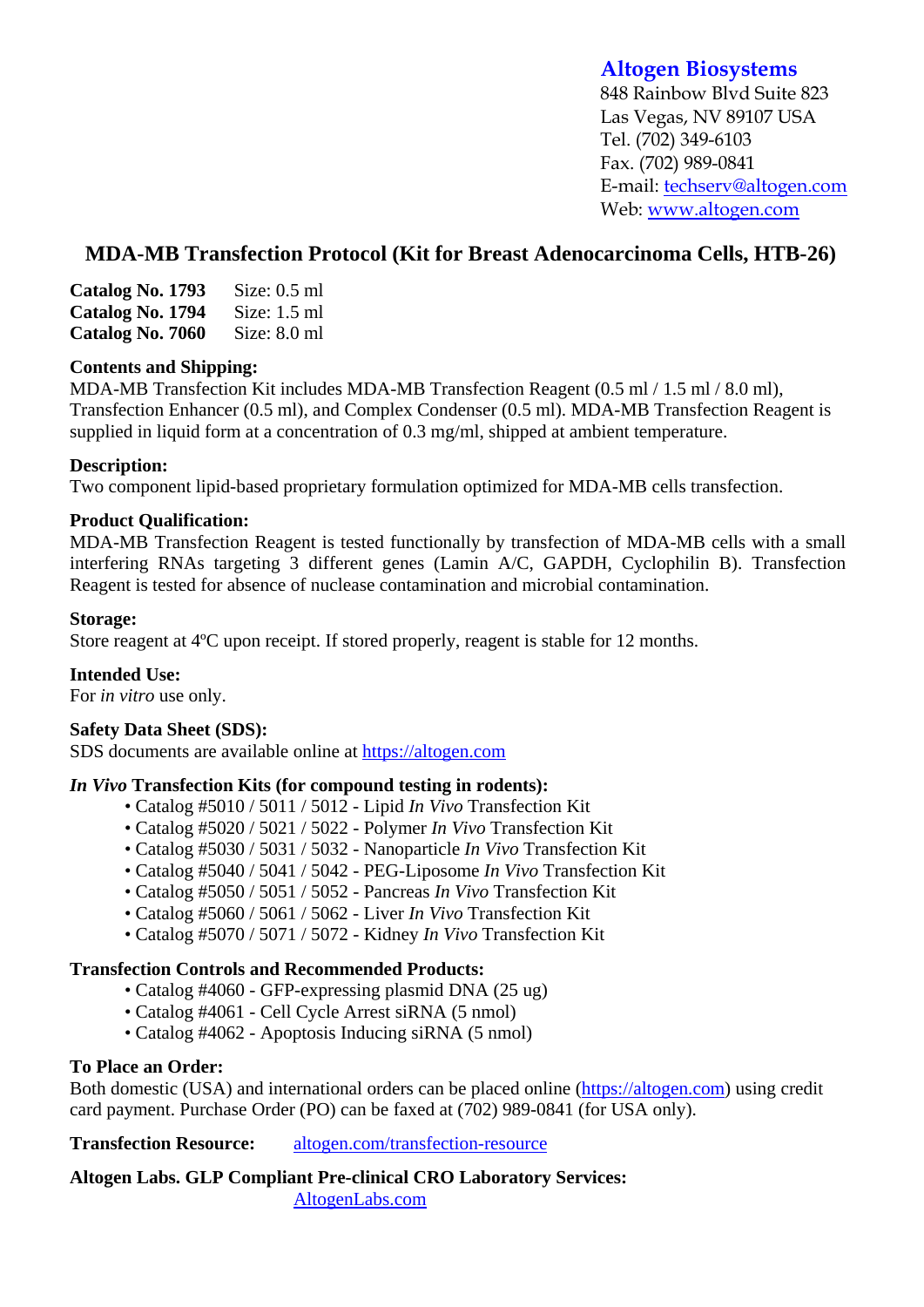# **Altogen Biosystems**

848 Rainbow Blvd Suite 823 Las Vegas, NV 89107 USA Tel. (702) 349-6103 Fax. (702) 989-0841 E-mail: techserv@altogen.com Web: www.altogen.com

# **MDA-MB Transfection Protocol (Kit for Breast Adenocarcinoma Cells, HTB-26)**

| Catalog No. 1793 | Size: $0.5$ ml |
|------------------|----------------|
| Catalog No. 1794 | Size: $1.5$ ml |
| Catalog No. 7060 | Size: $8.0$ ml |

### **Contents and Shipping:**

MDA-MB Transfection Kit includes MDA-MB Transfection Reagent (0.5 ml / 1.5 ml / 8.0 ml), Transfection Enhancer (0.5 ml), and Complex Condenser (0.5 ml). MDA-MB Transfection Reagent is supplied in liquid form at a concentration of 0.3 mg/ml, shipped at ambient temperature.

# **Description:**

Two component lipid-based proprietary formulation optimized for MDA-MB cells transfection.

# **Product Qualification:**

MDA-MB Transfection Reagent is tested functionally by transfection of MDA-MB cells with a small interfering RNAs targeting 3 different genes (Lamin A/C, GAPDH, Cyclophilin B). Transfection Reagent is tested for absence of nuclease contamination and microbial contamination.

# **Storage:**

Store reagent at 4ºC upon receipt. If stored properly, reagent is stable for 12 months.

# **Intended Use:**

For *in vitro* use only.

# **Safety Data Sheet (SDS):**

SDS documents are available online at https://altogen.com

### *In Vivo* **Transfection Kits (for compound testing in rodents):**

- Catalog #5010 / 5011 / 5012 Lipid *In Vivo* Transfection Kit
- Catalog #5020 / 5021 / 5022 Polymer *In Vivo* Transfection Kit
- Catalog #5030 / 5031 / 5032 Nanoparticle *In Vivo* Transfection Kit
- Catalog #5040 / 5041 / 5042 PEG-Liposome *In Vivo* Transfection Kit
- Catalog #5050 / 5051 / 5052 Pancreas *In Vivo* Transfection Kit
- Catalog #5060 / 5061 / 5062 Liver *In Vivo* Transfection Kit
- Catalog #5070 / 5071 / 5072 Kidney *In Vivo* Transfection Kit

### **Transfection Controls and Recommended Products:**

- Catalog #4060 GFP-expressing plasmid DNA (25 ug)
- Catalog #4061 Cell Cycle Arrest siRNA (5 nmol)
- Catalog #4062 Apoptosis Inducing siRNA (5 nmol)

### **To Place an Order:**

Both domestic (USA) and international orders can be placed online (https://altogen.com) using credit card payment. Purchase Order (PO) can be faxed at (702) 989-0841 (for USA only).

**Transfection Resource:** altogen.com/transfection-resource

**Altogen Labs. GLP Compliant Pre-clinical CRO Laboratory Services:**  AltogenLabs.com